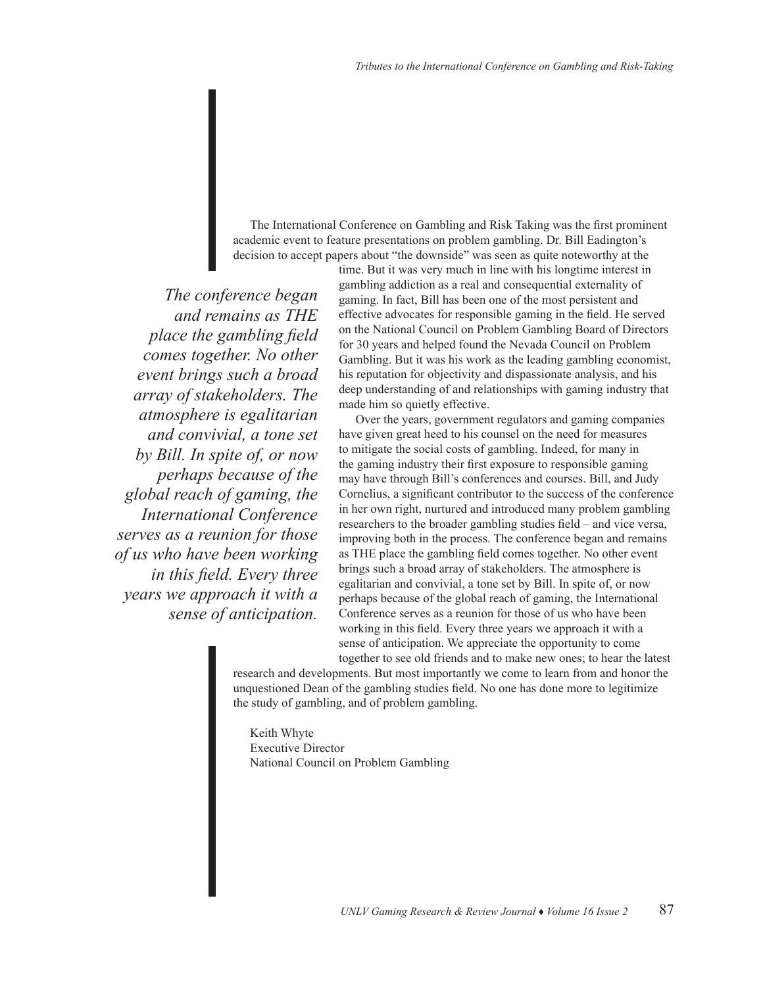The International Conference on Gambling and Risk Taking was the first prominent academic event to feature presentations on problem gambling. Dr. Bill Eadington's decision to accept papers about "the downside" was seen as quite noteworthy at the

*The conference began and remains as THE place the gambling field comes together. No other event brings such a broad array of stakeholders. The atmosphere is egalitarian and convivial, a tone set by Bill. In spite of, or now perhaps because of the global reach of gaming, the International Conference serves as a reunion for those of us who have been working in this field. Every three years we approach it with a sense of anticipation.* 

time. But it was very much in line with his longtime interest in gambling addiction as a real and consequential externality of gaming. In fact, Bill has been one of the most persistent and effective advocates for responsible gaming in the field. He served on the National Council on Problem Gambling Board of Directors for 30 years and helped found the Nevada Council on Problem Gambling. But it was his work as the leading gambling economist, his reputation for objectivity and dispassionate analysis, and his deep understanding of and relationships with gaming industry that made him so quietly effective.

Over the years, government regulators and gaming companies have given great heed to his counsel on the need for measures to mitigate the social costs of gambling. Indeed, for many in the gaming industry their first exposure to responsible gaming may have through Bill's conferences and courses. Bill, and Judy Cornelius, a significant contributor to the success of the conference in her own right, nurtured and introduced many problem gambling researchers to the broader gambling studies field – and vice versa, improving both in the process. The conference began and remains as THE place the gambling field comes together. No other event brings such a broad array of stakeholders. The atmosphere is egalitarian and convivial, a tone set by Bill. In spite of, or now perhaps because of the global reach of gaming, the International Conference serves as a reunion for those of us who have been working in this field. Every three years we approach it with a sense of anticipation. We appreciate the opportunity to come together to see old friends and to make new ones; to hear the latest

research and developments. But most importantly we come to learn from and honor the unquestioned Dean of the gambling studies field. No one has done more to legitimize the study of gambling, and of problem gambling.

Keith Whyte Executive Director National Council on Problem Gambling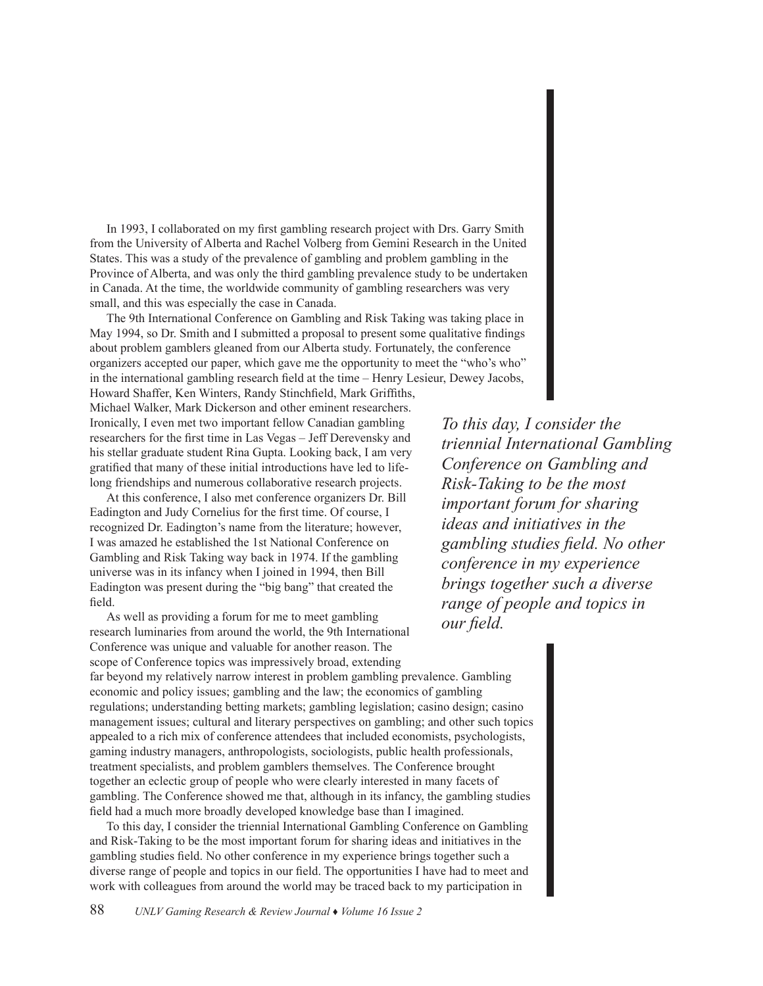In 1993, I collaborated on my first gambling research project with Drs. Garry Smith from the University of Alberta and Rachel Volberg from Gemini Research in the United States. This was a study of the prevalence of gambling and problem gambling in the Province of Alberta, and was only the third gambling prevalence study to be undertaken in Canada. At the time, the worldwide community of gambling researchers was very small, and this was especially the case in Canada.

The 9th International Conference on Gambling and Risk Taking was taking place in May 1994, so Dr. Smith and I submitted a proposal to present some qualitative findings about problem gamblers gleaned from our Alberta study. Fortunately, the conference organizers accepted our paper, which gave me the opportunity to meet the "who's who" in the international gambling research field at the time – Henry Lesieur, Dewey Jacobs,

Howard Shaffer, Ken Winters, Randy Stinchfield, Mark Griffiths, Michael Walker, Mark Dickerson and other eminent researchers. Ironically, I even met two important fellow Canadian gambling researchers for the first time in Las Vegas – Jeff Derevensky and his stellar graduate student Rina Gupta. Looking back, I am very gratified that many of these initial introductions have led to lifelong friendships and numerous collaborative research projects.

At this conference, I also met conference organizers Dr. Bill Eadington and Judy Cornelius for the first time. Of course, I recognized Dr. Eadington's name from the literature; however, I was amazed he established the 1st National Conference on Gambling and Risk Taking way back in 1974. If the gambling universe was in its infancy when I joined in 1994, then Bill Eadington was present during the "big bang" that created the field.

As well as providing a forum for me to meet gambling research luminaries from around the world, the 9th International Conference was unique and valuable for another reason. The scope of Conference topics was impressively broad, extending far beyond my relatively narrow interest in problem gambling prevalence. Gambling economic and policy issues; gambling and the law; the economics of gambling regulations; understanding betting markets; gambling legislation; casino design; casino management issues; cultural and literary perspectives on gambling; and other such topics appealed to a rich mix of conference attendees that included economists, psychologists, gaming industry managers, anthropologists, sociologists, public health professionals, treatment specialists, and problem gamblers themselves. The Conference brought together an eclectic group of people who were clearly interested in many facets of gambling. The Conference showed me that, although in its infancy, the gambling studies field had a much more broadly developed knowledge base than I imagined. *our field.* 

To this day, I consider the triennial International Gambling Conference on Gambling and Risk-Taking to be the most important forum for sharing ideas and initiatives in the gambling studies field. No other conference in my experience brings together such a diverse range of people and topics in our field. The opportunities I have had to meet and work with colleagues from around the world may be traced back to my participation in

*To this day, I consider the triennial International Gambling Conference on Gambling and Risk-Taking to be the most important forum for sharing ideas and initiatives in the gambling studies field. No other conference in my experience brings together such a diverse range of people and topics in* 

88 *UNLV Gaming Research & Review Journal* ♦ *Volume 16 Issue 2*